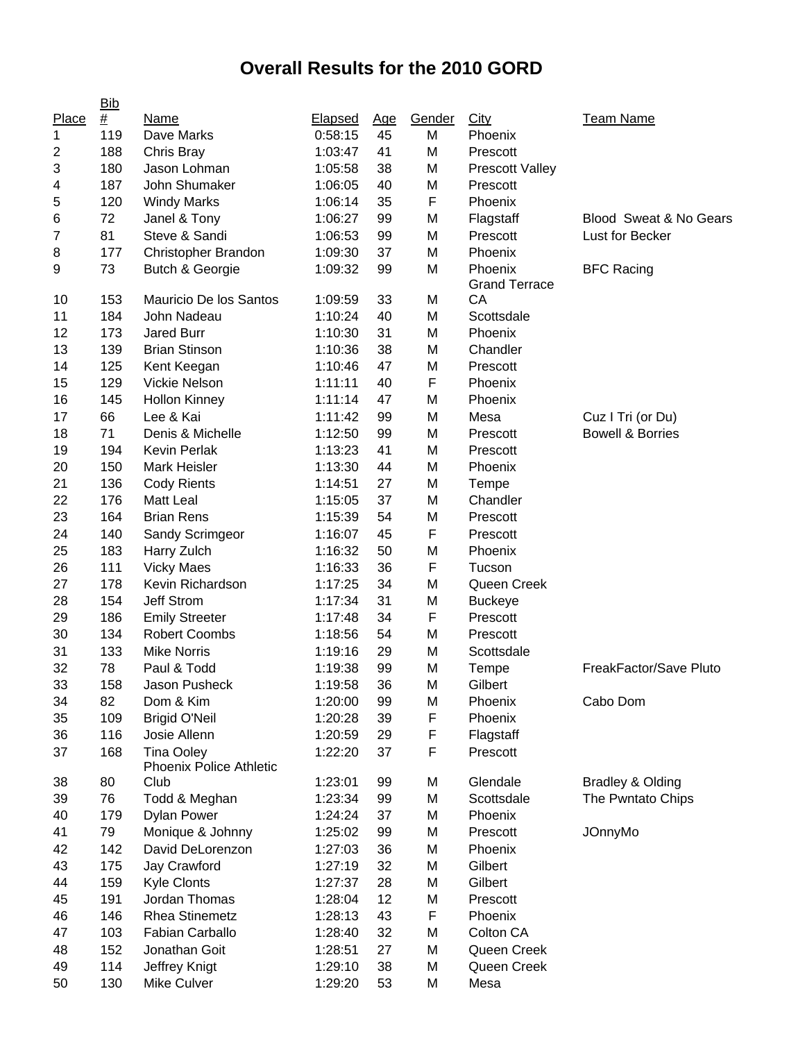## **Overall Results for the 2010 GORD**

|       | <b>Bib</b>     |                                                     |                |            |        |                                 |                             |
|-------|----------------|-----------------------------------------------------|----------------|------------|--------|---------------------------------|-----------------------------|
| Place | $\frac{\#}{4}$ | Name                                                | <b>Elapsed</b> | <u>Age</u> | Gender | City                            | <b>Team Name</b>            |
| 1     | 119            | Dave Marks                                          | 0:58:15        | 45         | M      | Phoenix                         |                             |
| 2     | 188            | Chris Bray                                          | 1:03:47        | 41         | M      | Prescott                        |                             |
| 3     | 180            | Jason Lohman                                        | 1:05:58        | 38         | M      | <b>Prescott Valley</b>          |                             |
| 4     | 187            | John Shumaker                                       | 1:06:05        | 40         | M      | Prescott                        |                             |
| 5     | 120            | <b>Windy Marks</b>                                  | 1:06:14        | 35         | F      | Phoenix                         |                             |
| 6     | 72             | Janel & Tony                                        | 1:06:27        | 99         | M      | Flagstaff                       | Blood Sweat & No Gears      |
| 7     | 81             | Steve & Sandi                                       | 1:06:53        | 99         | M      | Prescott                        | Lust for Becker             |
| 8     | 177            | Christopher Brandon                                 | 1:09:30        | 37         | M      | Phoenix                         |                             |
| 9     | 73             | Butch & Georgie                                     | 1:09:32        | 99         | M      | Phoenix<br><b>Grand Terrace</b> | <b>BFC Racing</b>           |
| 10    | 153            | Mauricio De los Santos                              | 1:09:59        | 33         | M      | СA                              |                             |
| 11    | 184            | John Nadeau                                         | 1:10:24        | 40         | M      | Scottsdale                      |                             |
| 12    | 173            | <b>Jared Burr</b>                                   | 1:10:30        | 31         | M      | Phoenix                         |                             |
| 13    | 139            | <b>Brian Stinson</b>                                | 1:10:36        | 38         | M      | Chandler                        |                             |
| 14    | 125            | Kent Keegan                                         | 1:10:46        | 47         | M      | Prescott                        |                             |
| 15    | 129            | Vickie Nelson                                       | 1:11:11        | 40         | F      | Phoenix                         |                             |
| 16    | 145            | <b>Hollon Kinney</b>                                | 1:11:14        | 47         | M      | Phoenix                         |                             |
| 17    | 66             | Lee & Kai                                           | 1:11:42        | 99         | M      | Mesa                            | Cuz I Tri (or Du)           |
| 18    | 71             | Denis & Michelle                                    | 1:12:50        | 99         | M      | Prescott                        | <b>Bowell &amp; Borries</b> |
| 19    | 194            | <b>Kevin Perlak</b>                                 | 1:13:23        | 41         | M      | Prescott                        |                             |
| 20    | 150            | <b>Mark Heisler</b>                                 | 1:13:30        | 44         | M      | Phoenix                         |                             |
| 21    | 136            | <b>Cody Rients</b>                                  | 1:14:51        | 27         | M      | Tempe                           |                             |
| 22    | 176            | Matt Leal                                           | 1:15:05        | 37         | M      | Chandler                        |                             |
| 23    | 164            | <b>Brian Rens</b>                                   | 1:15:39        | 54         | M      | Prescott                        |                             |
| 24    | 140            | Sandy Scrimgeor                                     | 1:16:07        | 45         | F      | Prescott                        |                             |
| 25    | 183            | Harry Zulch                                         | 1:16:32        | 50         | M      | Phoenix                         |                             |
| 26    | 111            | <b>Vicky Maes</b>                                   | 1:16:33        | 36         | F      | Tucson                          |                             |
| 27    | 178            | Kevin Richardson                                    | 1:17:25        | 34         | M      | Queen Creek                     |                             |
| 28    | 154            | <b>Jeff Strom</b>                                   | 1:17:34        | 31         | M      | <b>Buckeye</b>                  |                             |
| 29    | 186            | <b>Emily Streeter</b>                               | 1:17:48        | 34         | F      | Prescott                        |                             |
| 30    | 134            | <b>Robert Coombs</b>                                | 1:18:56        | 54         | M      | Prescott                        |                             |
| 31    | 133            | <b>Mike Norris</b>                                  | 1:19:16        | 29         | M      | Scottsdale                      |                             |
| 32    | 78             | Paul & Todd                                         | 1:19:38        | 99         | M      | Tempe                           | FreakFactor/Save Pluto      |
| 33    | 158            | Jason Pusheck                                       | 1:19:58        | 36         | M      | Gilbert                         |                             |
| 34    | 82             | Dom & Kim                                           | 1:20:00        | 99         | M      | Phoenix                         | Cabo Dom                    |
| 35    | 109            | <b>Brigid O'Neil</b>                                | 1:20:28        | 39         | F      | Phoenix                         |                             |
| 36    | 116            | Josie Allenn                                        | 1:20:59        | 29         | F      | Flagstaff                       |                             |
| 37    | 168            | <b>Tina Ooley</b><br><b>Phoenix Police Athletic</b> | 1:22:20        | 37         | F      | Prescott                        |                             |
| 38    | 80             | Club                                                | 1:23:01        | 99         | M      | Glendale                        | <b>Bradley &amp; Olding</b> |
| 39    | 76             | Todd & Meghan                                       | 1:23:34        | 99         | M      | Scottsdale                      | The Pwntato Chips           |
| 40    | 179            | <b>Dylan Power</b>                                  | 1:24:24        | 37         | M      | Phoenix                         |                             |
| 41    | 79             | Monique & Johnny                                    | 1:25:02        | 99         | M      | Prescott                        | <b>JOnnyMo</b>              |
| 42    | 142            | David DeLorenzon                                    | 1:27:03        | 36         | M      | Phoenix                         |                             |
| 43    | 175            | Jay Crawford                                        | 1:27:19        | 32         | M      | Gilbert                         |                             |
| 44    | 159            | <b>Kyle Clonts</b>                                  | 1:27:37        | 28         | M      | Gilbert                         |                             |
| 45    | 191            | Jordan Thomas                                       | 1:28:04        | 12         | M      | Prescott                        |                             |
| 46    | 146            | <b>Rhea Stinemetz</b>                               | 1:28:13        | 43         | F      | Phoenix                         |                             |
| 47    | 103            | Fabian Carballo                                     | 1:28:40        | 32         | M      | Colton CA                       |                             |
| 48    | 152            | Jonathan Goit                                       | 1:28:51        | 27         | M      | Queen Creek                     |                             |
| 49    | 114            | Jeffrey Knigt                                       | 1:29:10        | 38         | M      | Queen Creek                     |                             |
| 50    | 130            | Mike Culver                                         | 1:29:20        | 53         | M      | Mesa                            |                             |